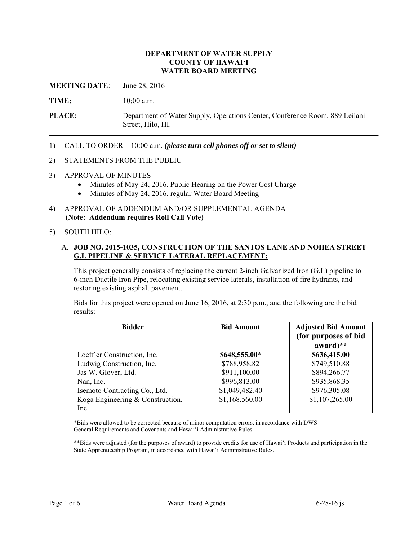#### **DEPARTMENT OF WATER SUPPLY COUNTY OF HAWAI'I WATER BOARD MEETING**

**MEETING DATE**: June 28, 2016

TIME: 10:00 a.m.

**PLACE:** Department of Water Supply, Operations Center, Conference Room, 889 Leilani Street, Hilo, HI.

1) CALL TO ORDER – 10:00 a.m. *(please turn cell phones off or set to silent)* 

#### 2) STATEMENTS FROM THE PUBLIC

- 3) APPROVAL OF MINUTES
	- Minutes of May 24, 2016, Public Hearing on the Power Cost Charge
	- Minutes of May 24, 2016, regular Water Board Meeting
- 4) APPROVAL OF ADDENDUM AND/OR SUPPLEMENTAL AGENDA **(Note: Addendum requires Roll Call Vote)**

#### 5) SOUTH HILO:

### A. **JOB NO. 2015-1035, CONSTRUCTION OF THE SANTOS LANE AND NOHEA STREET G.I. PIPELINE & SERVICE LATERAL REPLACEMENT:**

This project generally consists of replacing the current 2-inch Galvanized Iron (G.I.) pipeline to 6-inch Ductile Iron Pipe, relocating existing service laterals, installation of fire hydrants, and restoring existing asphalt pavement.

Bids for this project were opened on June 16, 2016, at 2:30 p.m., and the following are the bid results:

| <b>Bidder</b>                            | <b>Bid Amount</b> | <b>Adjusted Bid Amount</b><br>(for purposes of bid<br>award)** |
|------------------------------------------|-------------------|----------------------------------------------------------------|
| Loeffler Construction, Inc.              | \$648,555.00*     | \$636,415.00                                                   |
| Ludwig Construction, Inc.                | \$788,958.82      | \$749,510.88                                                   |
| Jas W. Glover, Ltd.                      | \$911,100.00      | \$894,266.77                                                   |
| Nan, Inc.                                | \$996,813.00      | \$935,868.35                                                   |
| Isemoto Contracting Co., Ltd.            | \$1,049,482.40    | \$976,305.08                                                   |
| Koga Engineering & Construction,<br>Inc. | \$1,168,560.00    | \$1,107,265.00                                                 |

\*Bids were allowed to be corrected because of minor computation errors, in accordance with DWS General Requirements and Covenants and Hawai'i Administrative Rules.

\*\*Bids were adjusted (for the purposes of award) to provide credits for use of Hawai'i Products and participation in the State Apprenticeship Program, in accordance with Hawai'i Administrative Rules.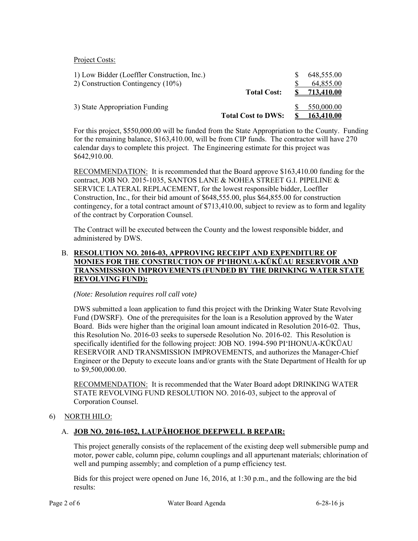Project Costs:

| 1) Low Bidder (Loeffler Construction, Inc.) |                           | 648,555.00 |
|---------------------------------------------|---------------------------|------------|
| 2) Construction Contingency (10%)           |                           | 64,855.00  |
|                                             | <b>Total Cost:</b>        | 713.410.00 |
| 3) State Appropriation Funding              |                           | 550,000.00 |
|                                             | <b>Total Cost to DWS:</b> | 163,410.00 |

For this project, \$550,000.00 will be funded from the State Appropriation to the County. Funding for the remaining balance, \$163,410.00, will be from CIP funds. The contractor will have 270 calendar days to complete this project. The Engineering estimate for this project was \$642,910.00.

RECOMMENDATION: It is recommended that the Board approve \$163,410.00 funding for the contingency, for a total contract amount of \$713,410.00, subject to review as to form and legality contract, JOB NO. 2015-1035, SANTOS LANE & NOHEA STREET G.I. PIPELINE & SERVICE LATERAL REPLACEMENT, for the lowest responsible bidder, Loeffler Construction, Inc., for their bid amount of \$648,555.00, plus \$64,855.00 for construction of the contract by Corporation Counsel.

The Contract will be executed between the County and the lowest responsible bidder, and administered by DWS.

## B. **RESOLUTION NO. 2016-03, APPROVING RECEIPT AND EXPENDITURE OF MONIES FOR THE CONSTRUCTION OF PI'IHONUA-KŪKŪAU RESERVOIR AND TRANSMISSSION IMPROVEMENTS (FUNDED BY THE DRINKING WATER STATE REVOLVING FUND):**

#### *(Note: Resolution requires roll call vote)*

DWS submitted a loan application to fund this project with the Drinking Water State Revolving Fund (DWSRF). One of the prerequisites for the loan is a Resolution approved by the Water Board. Bids were higher than the original loan amount indicated in Resolution 2016-02. Thus, this Resolution No. 2016-03 seeks to supersede Resolution No. 2016-02. This Resolution is specifically identified for the following project: JOB NO. 1994-590 PI'IHONUA-KŪKŪAU RESERVOIR AND TRANSMISSION IMPROVEMENTS, and authorizes the Manager-Chief Engineer or the Deputy to execute loans and/or grants with the State Department of Health for up to \$9,500,000.00.

RECOMMENDATION: It is recommended that the Water Board adopt DRINKING WATER STATE REVOLVING FUND RESOLUTION NO. 2016-03, subject to the approval of Corporation Counsel.

### 6) NORTH HILO:

# A. **JOB NO. 2016-1052, LAUPĀHOEHOE DEEPWELL B REPAIR:**

This project generally consists of the replacement of the existing deep well submersible pump and motor, power cable, column pipe, column couplings and all appurtenant materials; chlorination of well and pumping assembly; and completion of a pump efficiency test.

Bids for this project were opened on June 16, 2016, at 1:30 p.m., and the following are the bid results: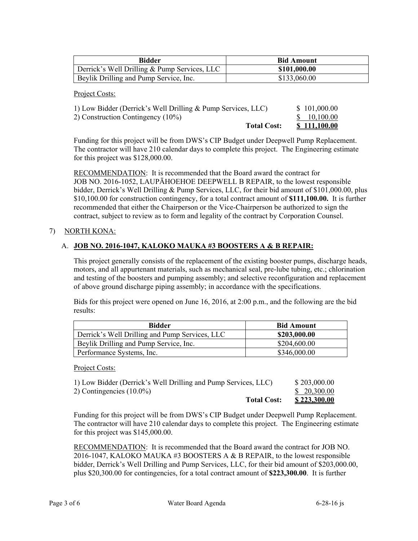| Bidder                                       | <b>Bid Amount</b> |
|----------------------------------------------|-------------------|
| Derrick's Well Drilling & Pump Services, LLC | \$101,000.00      |
| Beylik Drilling and Pump Service, Inc.       | \$133,060.00      |

Project Costs:

| 1) Low Bidder (Derrick's Well Drilling & Pump Services, LLC) | \$101,000.00        |
|--------------------------------------------------------------|---------------------|
| 2) Construction Contingency (10%)                            | \$ 10.100.00        |
| <b>Total Cost:</b>                                           | <b>\$111.100.00</b> |

Funding for this project will be from DWS's CIP Budget under Deepwell Pump Replacement. The contractor will have 210 calendar days to complete this project. The Engineering estimate for this project was \$128,000.00.

RECOMMENDATION: It is recommended that the Board award the contract for JOB NO. 2016-1052, LAUPĀHOEHOE DEEPWELL B REPAIR, to the lowest responsible bidder, Derrick's Well Drilling & Pump Services, LLC, for their bid amount of \$101,000.00, plus \$10,100.00 for construction contingency, for a total contract amount of **\$111,100.00.** It is further recommended that either the Chairperson or the Vice-Chairperson be authorized to sign the contract, subject to review as to form and legality of the contract by Corporation Counsel.

# 7) NORTH KONA:

# A. **JOB NO. 2016-1047, KALOKO MAUKA #3 BOOSTERS A & B REPAIR:**

This project generally consists of the replacement of the existing booster pumps, discharge heads, motors, and all appurtenant materials, such as mechanical seal, pre-lube tubing, etc.; chlorination and testing of the boosters and pumping assembly; and selective reconfiguration and replacement of above ground discharge piping assembly; in accordance with the specifications.

Bids for this project were opened on June 16, 2016, at 2:00 p.m., and the following are the bid results:

| <b>Bidder</b>                                  | <b>Bid Amount</b> |
|------------------------------------------------|-------------------|
| Derrick's Well Drilling and Pump Services, LLC | \$203,000.00      |
| Beylik Drilling and Pump Service, Inc.         | \$204,600.00      |
| Performance Systems, Inc.                      | \$346,000.00      |

Project Costs:

| 1) Low Bidder (Derrick's Well Drilling and Pump Services, LLC) | \$203,000.00        |
|----------------------------------------------------------------|---------------------|
| 2) Contingencies $(10.0\%)$                                    | \$20,300.00         |
| <b>Total Cost:</b>                                             | <u>\$223,300.00</u> |

Funding for this project will be from DWS's CIP Budget under Deepwell Pump Replacement. The contractor will have 210 calendar days to complete this project. The Engineering estimate for this project was \$145,000.00.

RECOMMENDATION: It is recommended that the Board award the contract for JOB NO. 2016-1047, KALOKO MAUKA #3 BOOSTERS A & B REPAIR, to the lowest responsible bidder, Derrick's Well Drilling and Pump Services, LLC, for their bid amount of \$203,000.00, plus \$20,300.00 for contingencies, for a total contract amount of **\$223,300.00**. It is further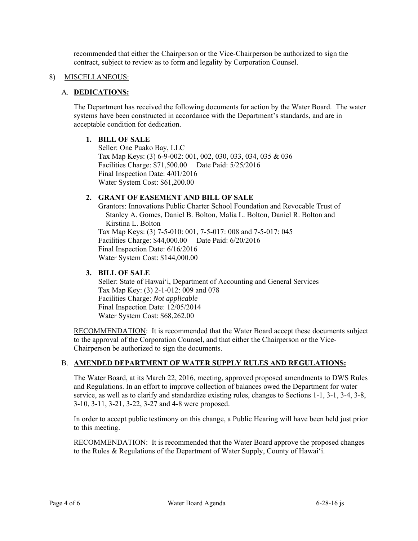recommended that either the Chairperson or the Vice-Chairperson be authorized to sign the contract, subject to review as to form and legality by Corporation Counsel.

#### 8) MISCELLANEOUS:

### A. **DEDICATIONS:**

The Department has received the following documents for action by the Water Board. The water systems have been constructed in accordance with the Department's standards, and are in acceptable condition for dedication.

### **1. BILL OF SALE**

Seller: One Puako Bay, LLC Tax Map Keys: (3) 6-9-002: 001, 002, 030, 033, 034, 035 & 036 Facilities Charge: \$71,500.00 Date Paid: 5/25/2016 Final Inspection Date: 4/01/2016 Water System Cost: \$61,200.00

#### **2. GRANT OF EASEMENT AND BILL OF SALE**

Grantors: Innovations Public Charter School Foundation and Revocable Trust of Stanley A. Gomes, Daniel B. Bolton, Malia L. Bolton, Daniel R. Bolton and Kirstina L. Bolton Tax Map Keys: (3) 7-5-010: 001, 7-5-017: 008 and 7-5-017: 045 Facilities Charge: \$44,000.00 Date Paid: 6/20/2016 Final Inspection Date: 6/16/2016 Water System Cost: \$144,000.00

#### **3. BILL OF SALE**

Seller: State of Hawai'i, Department of Accounting and General Services Tax Map Key: (3) 2-1-012: 009 and 078 Facilities Charge: *Not applicable*  Final Inspection Date: 12/05/2014 Water System Cost: \$68,262.00

RECOMMENDATION: It is recommended that the Water Board accept these documents subject to the approval of the Corporation Counsel, and that either the Chairperson or the Vice-Chairperson be authorized to sign the documents.

### B. **AMENDED DEPARTMENT OF WATER SUPPLY RULES AND REGULATIONS:**

The Water Board, at its March 22, 2016, meeting, approved proposed amendments to DWS Rules and Regulations. In an effort to improve collection of balances owed the Department for water service, as well as to clarify and standardize existing rules, changes to Sections 1-1, 3-1, 3-4, 3-8, 3-10, 3-11, 3-21, 3-22, 3-27 and 4-8 were proposed.

In order to accept public testimony on this change, a Public Hearing will have been held just prior to this meeting.

**RECOMMENDATION:** It is recommended that the Water Board approve the proposed changes to the Rules & Regulations of the Department of Water Supply, County of Hawai'i.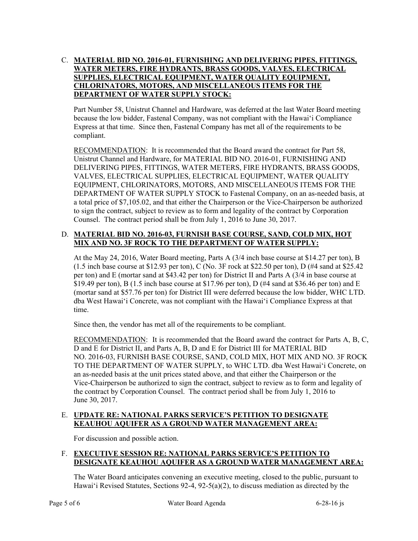# C. **MATERIAL BID NO. 2016-01, FURNISHING AND DELIVERING PIPES, FITTINGS, WATER METERS, FIRE HYDRANTS, BRASS GOODS, VALVES, ELECTRICAL SUPPLIES, ELECTRICAL EQUIPMENT, WATER QUALITY EQUIPMENT, CHLORINATORS, MOTORS, AND MISCELLANEOUS ITEMS FOR THE DEPARTMENT OF WATER SUPPLY STOCK:**

Part Number 58, Unistrut Channel and Hardware, was deferred at the last Water Board meeting because the low bidder, Fastenal Company, was not compliant with the Hawai'i Compliance Express at that time. Since then, Fastenal Company has met all of the requirements to be compliant.

RECOMMENDATION: It is recommended that the Board award the contract for Part 58, Unistrut Channel and Hardware, for MATERIAL BID NO. 2016-01, FURNISHING AND DELIVERING PIPES, FITTINGS, WATER METERS, FIRE HYDRANTS, BRASS GOODS, VALVES, ELECTRICAL SUPPLIES, ELECTRICAL EQUIPMENT, WATER QUALITY EQUIPMENT, CHLORINATORS, MOTORS, AND MISCELLANEOUS ITEMS FOR THE DEPARTMENT OF WATER SUPPLY STOCK to Fastenal Company, on an as-needed basis, at a total price of \$7,105.02, and that either the Chairperson or the Vice-Chairperson be authorized to sign the contract, subject to review as to form and legality of the contract by Corporation Counsel. The contract period shall be from July 1, 2016 to June 30, 2017.

# D. **MATERIAL BID NO. 2016-03, FURNISH BASE COURSE, SAND, COLD MIX, HOT MIX AND NO. 3F ROCK TO THE DEPARTMENT OF WATER SUPPLY:**

At the May 24, 2016, Water Board meeting, Parts A (3/4 inch base course at \$14.27 per ton), B (1.5 inch base course at \$12.93 per ton), C (No. 3F rock at \$22.50 per ton), D (#4 sand at \$25.42 per ton) and E (mortar sand at \$43.42 per ton) for District II and Parts A (3/4 in base course at \$19.49 per ton), B (1.5 inch base course at \$17.96 per ton), D (#4 sand at \$36.46 per ton) and E (mortar sand at \$57.76 per ton) for District III were deferred because the low bidder, WHC LTD. dba West Hawai'i Concrete, was not compliant with the Hawai'i Compliance Express at that time.

Since then, the vendor has met all of the requirements to be compliant.

RECOMMENDATION: It is recommended that the Board award the contract for Parts A, B, C, D and E for District II, and Parts A, B, D and E for District III for MATERIAL BID NO. 2016-03, FURNISH BASE COURSE, SAND, COLD MIX, HOT MIX AND NO. 3F ROCK TO THE DEPARTMENT OF WATER SUPPLY, to WHC LTD. dba West Hawai'i Concrete, on an as-needed basis at the unit prices stated above, and that either the Chairperson or the Vice-Chairperson be authorized to sign the contract, subject to review as to form and legality of the contract by Corporation Counsel. The contract period shall be from July 1, 2016 to June 30, 2017.

# E. **UPDATE RE: NATIONAL PARKS SERVICE'S PETITION TO DESIGNATE KEAUHOU AQUIFER AS A GROUND WATER MANAGEMENT AREA:**

For discussion and possible action.

## F. **EXECUTIVE SESSION RE: NATIONAL PARKS SERVICE'S PETITION TO DESIGNATE KEAUHOU AQUIFER AS A GROUND WATER MANAGEMENT AREA:**

The Water Board anticipates convening an executive meeting, closed to the public, pursuant to Hawai'i Revised Statutes, Sections 92-4, 92-5(a)(2), to discuss mediation as directed by the